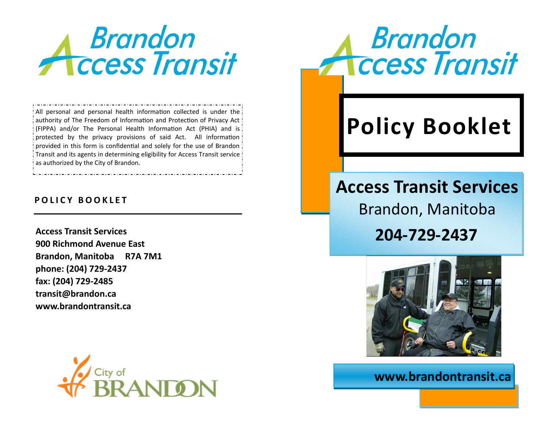

All personal and personal health information collected is under the authority of The Freedom of Information and Protection of Privacy Act! (FIPPA) and/or The Personal Health Information Act (PHIA) and is protected by the privacy provisions of said Act. All information provided in this form is confidential and solely for the use of Brandon Transit and its agents in determining eligibility for Access Transit service as authorized by the City of Brandon.

#### **P O L I C Y B O O K L E T**

**Access Transit Services 900 Richmond Avenue East Brandon, Manitoba R7A 7M1 phone: (204) 729-2437 fax: (204) 729-2485 transit@brandon.ca www.brandontransit.ca**





# **Policy Booklet**

# **Access Transit Services** Brandon, Manitoba





**www.brandontransit.ca**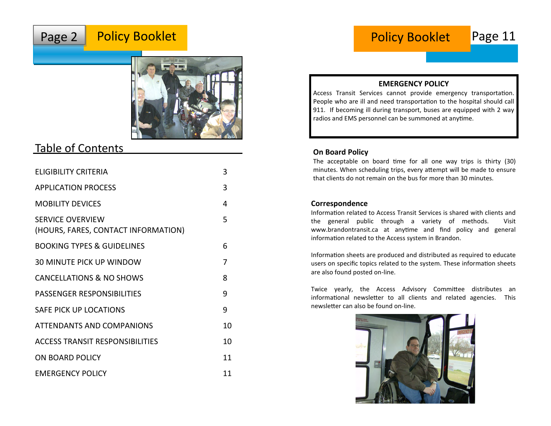# **Policy Booklet** Page 2



# Table of Contents

| ELIGIBILITY CRITERIA                                           | 3  |
|----------------------------------------------------------------|----|
| <b>APPLICATION PROCESS</b>                                     | 3  |
| <b>MOBILITY DEVICES</b>                                        | 4  |
| <b>SERVICE OVERVIEW</b><br>(HOURS, FARES, CONTACT INFORMATION) | 5  |
| <b>BOOKING TYPES &amp; GUIDELINES</b>                          | 6  |
| <b>30 MINUTE PICK UP WINDOW</b>                                | 7  |
| <b>CANCELLATIONS &amp; NO SHOWS</b>                            | 8  |
| <b>PASSENGER RESPONSIBILITIES</b>                              | 9  |
| SAFE PICK UP LOCATIONS                                         | 9  |
| <b>ATTENDANTS AND COMPANIONS</b>                               | 10 |
| <b>ACCESS TRANSIT RESPONSIBILITIES</b>                         | 10 |
| ON BOARD POLICY                                                | 11 |
| <b>EMERGENCY POLICY</b>                                        | 11 |
|                                                                |    |

#### **EMERGENCY POLICY**

**Policy Booklet** 

Access Transit Services cannot provide emergency transportation. People who are ill and need transportation to the hospital should call 911. If becoming ill during transport, buses are equipped with 2 way radios and EMS personnel can be summoned at anytime.

#### **On Board Policy**

The acceptable on board time for all one way trips is thirty (30) minutes. When scheduling trips, every attempt will be made to ensure that clients do not remain on the bus for more than 30 minutes.

#### **Correspondence**

Information related to Access Transit Services is shared with clients and the general public through a variety of methods. Visit www.brandontransit.ca at anytime and find policy and general information related to the Access system in Brandon.

Information sheets are produced and distributed as required to educate users on specific topics related to the system. These information sheets are also found posted on-line.

Twice yearly, the Access Advisory Committee distributes an informational newsletter to all clients and related agencies. This newsletter can also be found on-line.



# Page 11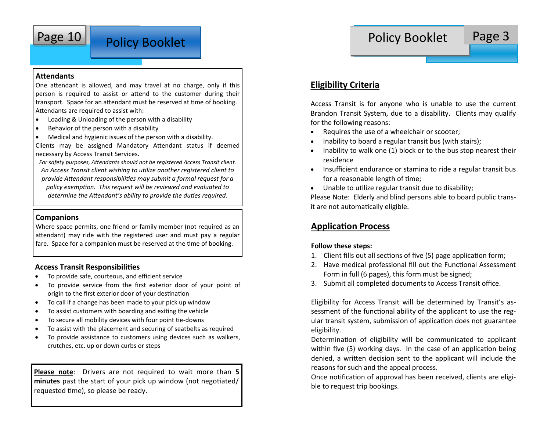

# **Policy Booklet**

#### **Attendants**

One attendant is allowed, and may travel at no charge, only if this person is required to assist or attend to the customer during their transport. Space for an attendant must be reserved at time of booking. Attendants are required to assist with:

- Loading & Unloading of the person with a disability
- Behavior of the person with a disability
- Medical and hygienic issues of the person with a disability.

Clients may be assigned Mandatory Attendant status if deemed necessary by Access Transit Services.

*For safety purposes, Attendants should not be registered Access Transit client. An Access Transit client wishing to utilize another registered client to provide Attendant responsibilities may submit a formal request for a policy exemption. This request will be reviewed and evaluated to determine the Attendant's ability to provide the duties required.* 

#### **Companions**

Where space permits, one friend or family member (not required as an attendant) may ride with the registered user and must pay a regular fare. Space for a companion must be reserved at the time of booking.

#### **Access Transit Responsibilities**

- To provide safe, courteous, and efficient service
- To provide service from the first exterior door of your point of origin to the first exterior door of your destination
- To call if a change has been made to your pick up window
- To assist customers with boarding and exiting the vehicle
- To secure all mobility devices with four point tie-downs
- To assist with the placement and securing of seatbelts as required
- To provide assistance to customers using devices such as walkers, crutches, etc. up or down curbs or steps

**Please note**: Drivers are not required to wait more than **5 minutes** past the start of your pick up window (not negotiated/ requested time), so please be ready.

#### **Eligibility Criteria**

Access Transit is for anyone who is unable to use the current Brandon Transit System, due to a disability. Clients may qualify for the following reasons:

- Requires the use of a wheelchair or scooter;
- Inability to board a regular transit bus (with stairs);
- Inability to walk one (1) block or to the bus stop nearest their residence
- Insufficient endurance or stamina to ride a regular transit bus for a reasonable length of time;
- Unable to utilize regular transit due to disability;

Please Note: Elderly and blind persons able to board public transit are not automatically eligible.

#### **Application Process**

#### **Follow these steps:**

- 1. Client fills out all sections of five (5) page application form;
- 2. Have medical professional fill out the Functional Assessment Form in full (6 pages), this form must be signed;
- 3. Submit all completed documents to Access Transit office.

Eligibility for Access Transit will be determined by Transit's assessment of the functional ability of the applicant to use the regular transit system, submission of application does not guarantee eligibility.

Determination of eligibility will be communicated to applicant within five (5) working days. In the case of an application being denied, a written decision sent to the applicant will include the reasons for such and the appeal process.

Once notification of approval has been received, clients are eligible to request trip bookings.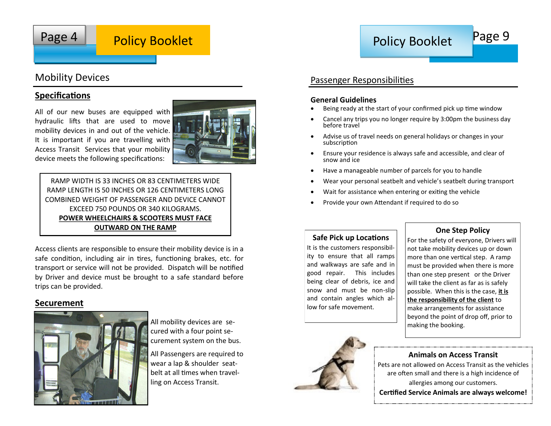

# **Policy Booklet**

# Policy Booklet Page 9

### Mobility Devices

#### **Specifications**

All of our new buses are equipped with hydraulic lifts that are used to move mobility devices in and out of the vehicle. It is important if you are travelling with Access Transit Services that your mobility device meets the following specifications:



RAMP WIDTH IS 33 INCHES OR 83 CENTIMETERS WIDE RAMP LENGTH IS 50 INCHES OR 126 CENTIMETERS LONG COMBINED WEIGHT OF PASSENGER AND DEVICE CANNOT EXCEED 750 POUNDS OR 340 KILOGRAMS. **POWER WHEELCHAIRS & SCOOTERS MUST FACE OUTWARD ON THE RAMP**

Access clients are responsible to ensure their mobility device is in a safe condition, including air in tires, functioning brakes, etc. for transport or service will not be provided. Dispatch will be notified by Driver and device must be brought to a safe standard before trips can be provided.

#### **Securement**



All mobility devices are secured with a four point securement system on the bus.

All Passengers are required to wear a lap & shoulder seatbelt at all times when travelling on Access Transit.

#### Passenger Responsibilities

#### **General Guidelines**

- Being ready at the start of your confirmed pick up time window
- Cancel any trips you no longer require by 3:00pm the business day before travel
- Advise us of travel needs on general holidays or changes in your subscription
- Ensure your residence is always safe and accessible, and clear of snow and ice
- Have a manageable number of parcels for you to handle
- Wear your personal seatbelt and vehicle's seatbelt during transport
- Wait for assistance when entering or exiting the vehicle
- Provide your own Attendant if required to do so

#### **Safe Pick up Locations**

It is the customers responsibility to ensure that all ramps and walkways are safe and in good repair. This includes being clear of debris, ice and snow and must be non-slip and contain angles which allow for safe movement.

#### **One Step Policy**

For the safety of everyone, Drivers will not take mobility devices up or down more than one vertical step. A ramp must be provided when there is more than one step present or the Driver will take the client as far as is safely possible. When this is the case, **it is the responsibility of the client** to make arrangements for assistance beyond the point of drop off, prior to making the booking.



#### **Animals on Access Transit**

Pets are not allowed on Access Transit as the vehicles are often small and there is a high incidence of allergies among our customers. **Certified Service Animals are always welcome!**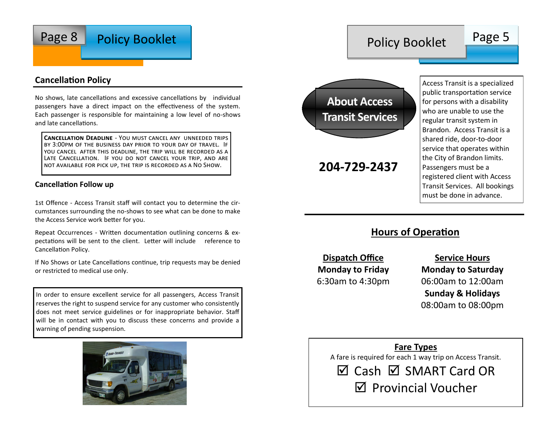

#### **Cancellation Policy**

No shows, late cancellations and excessive cancellations by individual passengers have a direct impact on the effectiveness of the system. Each passenger is responsible for maintaining a low level of no-shows and late cancellations.

**Cancellation Deadline** - You must cancel any unneeded trips by 3:00pm of the business day prior to your day of travel. If you cancel after this deadline, the trip will be recorded as a Late Cancellation. If you do not cancel your trip, and are not available for pick up, the trip is recorded as a No Show.

#### **Cancellation Follow up**

1st Offence - Access Transit staff will contact you to determine the circumstances surrounding the no-shows to see what can be done to make the Access Service work better for you.

Repeat Occurrences - Written documentation outlining concerns & expectations will be sent to the client. Letter will include reference to Cancellation Policy.

If No Shows or Late Cancellations continue, trip requests may be denied or restricted to medical use only.

In order to ensure excellent service for all passengers, Access Transit reserves the right to suspend service for any customer who consistently does not meet service guidelines or for inappropriate behavior. Staff will be in contact with you to discuss these concerns and provide a warning of pending suspension.





**About Access Transit Services**

**204-729-2437** 

Access Transit is a specialized public transportation service for persons with a disability who are unable to use the regular transit system in Brandon. Access Transit is a shared ride, door-to-door service that operates within the City of Brandon limits. Passengers must be a registered client with Access Transit Services. All bookings must be done in advance.

### **Hours of Operation**

**Dispatch Office Monday to Friday** 6:30am to 4:30pm

**Service Hours Monday to Saturday** 06:00am to 12:00am **Sunday & Holidays** 08:00am to 08:00pm

**Fare Types**  A fare is required for each 1 way trip on Access Transit.  $\boxtimes$  Cash  $\boxtimes$  SMART Card OR

 $\overline{M}$  Provincial Voucher